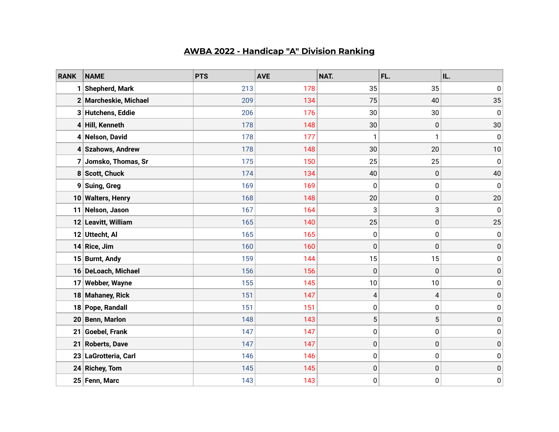## **AWBA 2022 - Handicap "A" Division Ranking**

| <b>RANK</b>     | <b>NAME</b>           | <b>PTS</b> | <b>AVE</b> | NAT.        | FL. | IL.         |
|-----------------|-----------------------|------------|------------|-------------|-----|-------------|
| 1               | Shepherd, Mark        | 213        | 178        | 35          | 35  | $\pmb{0}$   |
|                 | 2 Marcheskie, Michael | 209        | 134        | 75          | 40  | 35          |
|                 | 3 Hutchens, Eddie     | 206        | 176        | 30          | 30  | $\mathbf 0$ |
|                 | 4 Hill, Kenneth       | 178        | 148        | 30          | 0   | 30          |
|                 | 4 Nelson, David       | 178        | 177        | 1           | 1   | $\pmb{0}$   |
|                 | 4 Szahows, Andrew     | 178        | 148        | 30          | 20  | 10          |
|                 | 7 Jomsko, Thomas, Sr  | 175        | 150        | 25          | 25  | 0           |
|                 | 8 Scott, Chuck        | 174        | 134        | 40          | 0   | 40          |
|                 | 9 Suing, Greg         | 169        | 169        | 0           | 0   | 0           |
|                 | 10 Walters, Henry     | 168        | 148        | 20          | 0   | 20          |
| 11 <sup>1</sup> | Nelson, Jason         | 167        | 164        | 3           | 3   | 0           |
|                 | 12 Leavitt, William   | 165        | 140        | 25          | 0   | 25          |
|                 | 12 Uttecht, Al        | 165        | 165        | 0           | 0   | 0           |
| 14              | Rice, Jim             | 160        | 160        | $\mathbf 0$ | 0   | $\pmb{0}$   |
|                 | 15 Burnt, Andy        | 159        | 144        | 15          | 15  | 0           |
|                 | 16 DeLoach, Michael   | 156        | 156        | $\pmb{0}$   | 0   | 0           |
|                 | 17 Webber, Wayne      | 155        | 145        | 10          | 10  | 0           |
|                 | 18 Mahaney, Rick      | 151        | 147        | 4           | 4   | $\pmb{0}$   |
| 18              | Pope, Randall         | 151        | 151        | 0           | 0   | 0           |
| 20              | <b>Benn, Marlon</b>   | 148        | 143        | 5           | 5   | $\pmb{0}$   |
| 21              | Goebel, Frank         | 147        | 147        | 0           | 0   | $\pmb{0}$   |
| 21              | <b>Roberts, Dave</b>  | 147        | 147        | 0           | 0   | $\pmb{0}$   |
| 23              | LaGrotteria, Carl     | 146        | 146        | 0           | 0   | 0           |
| 24              | <b>Richey, Tom</b>    | 145        | 145        | $\pmb{0}$   | 0   | 0           |
|                 | 25 Fenn, Marc         | 143        | 143        | 0           | 0   | 0           |